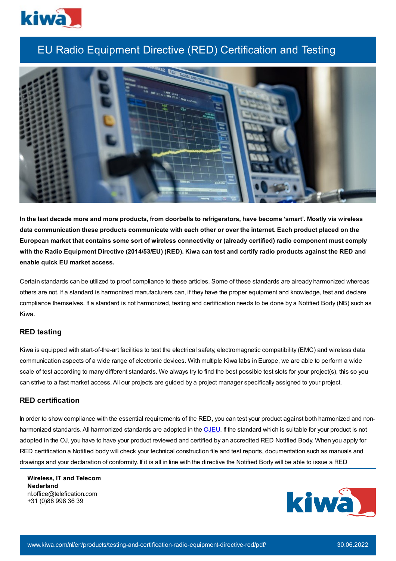

# EU Radio Equipment Directive (RED) Certification and Testing



In the last decade more and more products, from doorbells to refrigerators, have become 'smart'. Mostly via wireless data communication these products communicate with each other or over the internet. Each product placed on the European market that contains some sort of wireless connectivity or (already certified) radio component must comply with the Radio Equipment Directive (2014/53/EU) (RED). Kiwa can test and certify radio products against the RED and **enable quick EU market access.**

Certain standards can be utilized to proof compliance to these articles. Some of these standards are already harmonized whereas others are not. If a standard is harmonized manufacturers can, if they have the proper equipment and knowledge, test and declare compliance themselves. If a standard is not harmonized, testing and certification needs to be done by a Notified Body (NB) such as Kiwa.

# **RED testing**

Kiwa is equipped with start-of-the-art facilities to test the electrical safety, electromagnetic compatibility (EMC) and wireless data communication aspects of a wide range of electronic devices. With multiple Kiwa labs in Europe, we are able to perform a wide scale of test according to many different standards. We always try to find the best possible test slots for your project(s), this so you can strive to a fast market access. All our projects are guided by a project manager specifically assigned to your project.

## **RED certification**

In order to show compliance with the essential requirements of the RED, you can test your product against both harmonized and non-harmonized standards. All harmonized standards are adopted in the [OJEU.](https://www.kiwa.com//4923ea/globalassets/dam/kiwa-netherlands/downloads/2014_53-radio-equipment-summary-list-of-harmonised-standards-generated-on-22.07.2021.pdf) If the standard which is suitable for your product is not adopted in the OJ, you have to have your product reviewed and certified by an accredited RED Notified Body. When you apply for RED certification a Notified body will check your technical construction file and test reports, documentation such as manuals and drawings and your declaration of conformity. If it is all in line with the directive the Notified Body will be able to issue a RED

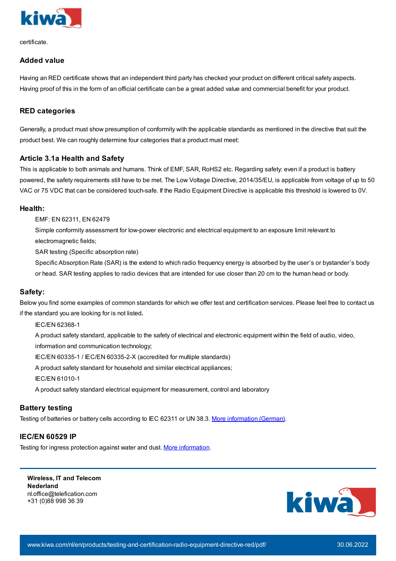

certificate.

# **Added value**

Having an RED certificate shows that an independent third party has checked your product on different critical safety aspects. Having proof of this in the form of an official certificate can be a great added value and commercial benefit for your product.

# **RED categories**

Generally, a product must show presumption of conformity with the applicable standards as mentioned in the directive that suit the product best. We can roughly determine four categories that a product must meet:

# **Article 3.1a Health and Safety**

This is applicable to both animals and humans. Think of EMF, SAR, RoHS2 etc. Regarding safety: even if a product is battery powered, the safety requirements still have to be met. The Low Voltage Directive, 2014/35/EU, is applicable from voltage of up to 50 VAC or 75 VDC that can be considered touch-safe. If the Radio Equipment Directive is applicable this threshold is lowered to 0V.

## **Health:**

EMF: EN 62311, EN 62479

Simple conformity assessment for low-power electronic and electrical equipment to an exposure limit relevant to electromagnetic fields;

SAR testing (Specific absorption rate)

Specific Absorption Rate (SAR) is the extend to which radio frequency energy is absorbed by the user's or bystander's body or head. SAR testing applies to radio devices that are intended for use closer than 20 cm to the human head or body.

# **Safety:**

Below you find some examples of common standards for which we offer test and certification services. Please feel free to contact us if the standard you are looking for is not listed**.**

IEC/EN 62368-1

A product safety standard, applicable to the safety of electrical and electronic equipment within the field of audio, video,

information and communication technology;

IEC/EN 60335-1 / IEC/EN 60335-2-X (accredited for multiple standards)

A product safety standard for household and similar electrical appliances;

IEC/EN 61010-1

A product safety standard electrical equipment for measurement, control and laboratory

# **Battery testing**

Testing of batteries or battery cells according to IEC 62311 or UN 38.3. More [information](https://www.kiwa.com/de/en/service/iec-62133-2-battery-testing/) (German).

# **IEC/EN 60529 IP**

Testing for ingress protection against water and dust. More [information.](https://www.kiwa.com/nl/en/products/ip-xx-testing-solid-objects-and-dust-intrusion-up-to-ip-6x/)

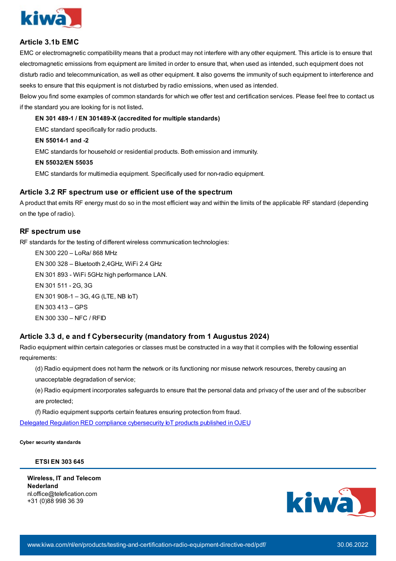

# **Article 3.1b EMC**

EMC or electromagnetic compatibility means that a product may not interfere with any other equipment. This article is to ensure that electromagnetic emissions from equipment are limited in order to ensure that, when used as intended, such equipment does not disturb radio and telecommunication, as well as other equipment. It also governs the immunity of such equipment to interference and seeks to ensure that this equipment is not disturbed by radio emissions, when used as intended.

Below you find some examples of common standards for which we offer test and certification services. Please feel free to contact us if the standard you are looking for is not listed**.**

#### **EN 301 489-1 / EN 301489-X (accredited for multiple standards)**

EMC standard specifically for radio products.

#### **EN 55014-1 and -2**

EMC standards for household or residential products. Both emission and immunity.

#### **EN 55032/EN 55035**

EMC standards for multimedia equipment. Specifically used for non-radio equipment.

## **Article 3.2 RF spectrum use or efficient use of the spectrum**

A product that emits RF energy must do so in the most efficient way and within the limits of the applicable RF standard (depending on the type of radio).

#### **RF spectrum use**

RF standards for the testing of different wireless communication technologies:

EN 300 220 – LoRa/ 868 MHz EN 300 328 – Bluetooth 2,4GHz, WiFi 2.4 GHz EN 301 893 - WiFi 5GHz high performance LAN. EN 301 511 - 2G, 3G EN 301 908-1 – 3G, 4G (LTE, NB IoT) EN 303 413 – GPS EN 300 330 – NFC / RFID

# **Article 3.3 d, e and f Cybersecurity (mandatory from 1 Augustus 2024)**

Radio equipment within certain categories or classes must be constructed in a way that it complies with the following essential requirements:

(d) Radio equipment does not harm the network or its functioning nor misuse network resources, thereby causing an unacceptable degradation of service;

(e) Radio equipment incorporates safeguards to ensure that the personal data and privacy of the user and of the subscriber are protected;

(f) Radio equipment supports certain features ensuring protection from fraud.

Delegated Regulation RED compliance [cybersecurity](https://www.kiwa.com/nl/en/news/news/delegated-regulation-red-compliance-cybersecurity-iot-products-published-in-ojeu/) IoT products published in OJEU

**Cyber security standards**

#### **ETSI EN 303 645**